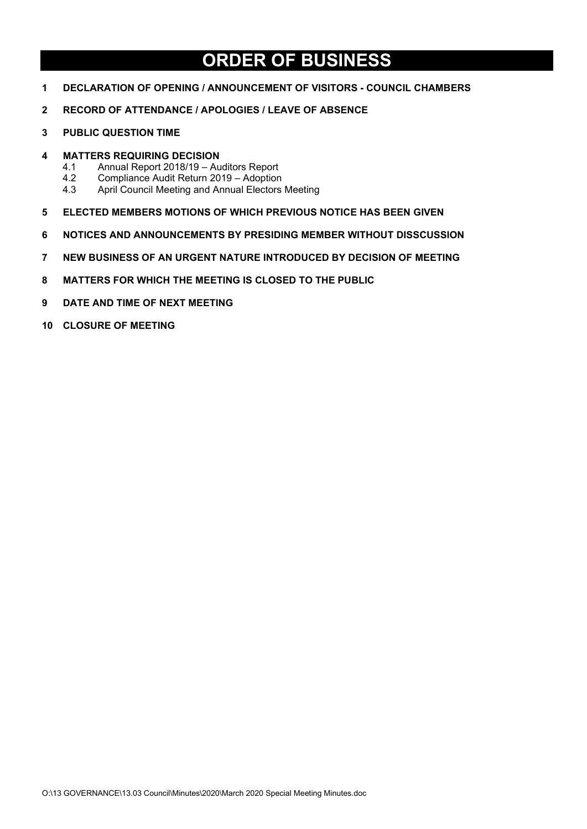# **ORDER OF BUSINESS**

- **DECLARATION OF OPENING / ANNOUNCEMENT OF VISITORS - COUNCIL CHAMBERS**
- **RECORD OF ATTENDANCE / APOLOGIES / LEAVE OF ABSENCE**
- **PUBLIC QUESTION TIME**
- **MATTERS REQUIRING DECISION**
	- 4.1 Annual Report 2018/19 Auditors Report<br>4.2 Compliance Audit Return 2019 Adoption
	- 4.2 Compliance Audit Return 2019 Adoption<br>4.3 April Council Meeting and Annual Electors
	- April Council Meeting and Annual Electors Meeting
- **ELECTED MEMBERS MOTIONS OF WHICH PREVIOUS NOTICE HAS BEEN GIVEN**
- **NOTICES AND ANNOUNCEMENTS BY PRESIDING MEMBER WITHOUT DISSCUSSION**
- **NEW BUSINESS OF AN URGENT NATURE INTRODUCED BY DECISION OF MEETING**
- **MATTERS FOR WHICH THE MEETING IS CLOSED TO THE PUBLIC**
- **DATE AND TIME OF NEXT MEETING**
- **CLOSURE OF MEETING**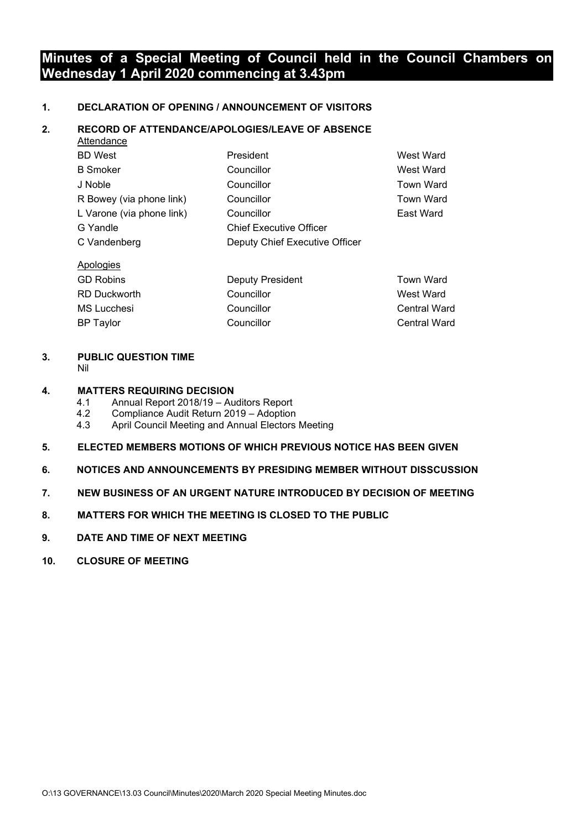### **Minutes of a Special Meeting of Council held in the Council Chambers on Wednesday 1 April 2020 commencing at 3.43pm**

#### **1. DECLARATION OF OPENING / ANNOUNCEMENT OF VISITORS**

#### **2. RECORD OF ATTENDANCE/APOLOGIES/LEAVE OF ABSENCE**

| <b>Allenuance</b>         |                                |                  |
|---------------------------|--------------------------------|------------------|
| <b>BD</b> West            | President                      | West Ward        |
| <b>B</b> Smoker           | Councillor                     | West Ward        |
| J Noble                   | Councillor                     | <b>Town Ward</b> |
| R Bowey (via phone link)  | Councillor                     | <b>Town Ward</b> |
| L Varone (via phone link) | Councillor                     | East Ward        |
| G Yandle                  | <b>Chief Executive Officer</b> |                  |
| C Vandenberg              | Deputy Chief Executive Officer |                  |
| Apologies                 |                                |                  |

| <b>GD Robins</b>    | <b>Deputy President</b> | <b>Town Ward</b>    |
|---------------------|-------------------------|---------------------|
| <b>RD Duckworth</b> | Councillor              | West Ward           |
| MS Lucchesi         | Councillor              | Central Ward        |
| <b>BP</b> Taylor    | Councillor              | <b>Central Ward</b> |

#### **3. PUBLIC QUESTION TIME**

Attendance

Nil

#### **4. MATTERS REQUIRING DECISION**

- 4.1 Annual Report 2018/19 Auditors Report
- 4.2 Compliance Audit Return 2019 Adoption
- April Council Meeting and Annual Electors Meeting

#### **5. ELECTED MEMBERS MOTIONS OF WHICH PREVIOUS NOTICE HAS BEEN GIVEN**

- **6. NOTICES AND ANNOUNCEMENTS BY PRESIDING MEMBER WITHOUT DISSCUSSION**
- **7. NEW BUSINESS OF AN URGENT NATURE INTRODUCED BY DECISION OF MEETING**
- **8. MATTERS FOR WHICH THE MEETING IS CLOSED TO THE PUBLIC**
- **9. DATE AND TIME OF NEXT MEETING**
- **10. CLOSURE OF MEETING**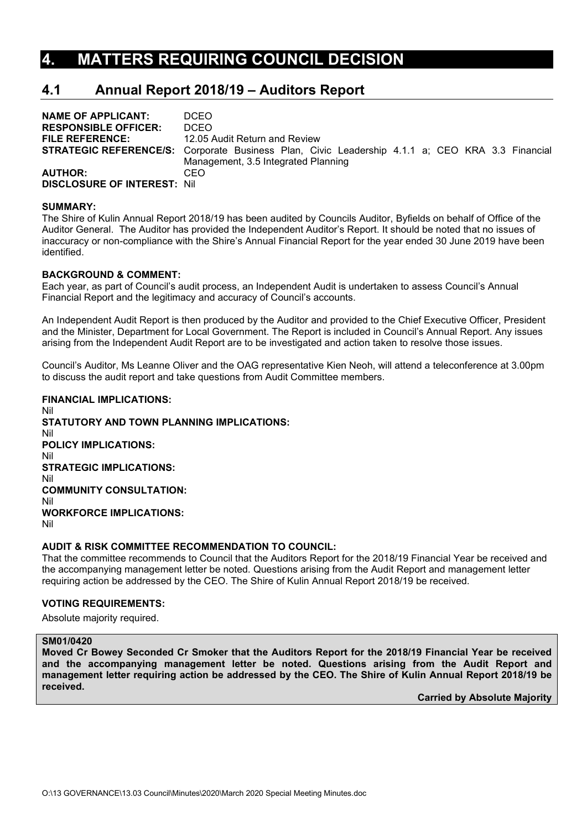### **4. MATTERS REQUIRING COUNCIL DECISION**

### **4.1 Annual Report 2018/19 – Auditors Report**

| <b>NAME OF APPLICANT:</b>          | DCEO.                                                                                                  |
|------------------------------------|--------------------------------------------------------------------------------------------------------|
| <b>RESPONSIBLE OFFICER:</b>        | <b>DCEO</b>                                                                                            |
| <b>FILE REFERENCE:</b>             | 12.05 Audit Return and Review                                                                          |
|                                    | <b>STRATEGIC REFERENCE/S:</b> Corporate Business Plan, Civic Leadership 4.1.1 a; CEO KRA 3.3 Financial |
|                                    | Management, 3.5 Integrated Planning                                                                    |
| <b>AUTHOR:</b>                     | CEO                                                                                                    |
| <b>DISCLOSURE OF INTEREST: Nil</b> |                                                                                                        |

#### **SUMMARY:**

The Shire of Kulin Annual Report 2018/19 has been audited by Councils Auditor, Byfields on behalf of Office of the Auditor General. The Auditor has provided the Independent Auditor's Report. It should be noted that no issues of inaccuracy or non-compliance with the Shire's Annual Financial Report for the year ended 30 June 2019 have been identified.

#### **BACKGROUND & COMMENT:**

Each year, as part of Council's audit process, an Independent Audit is undertaken to assess Council's Annual Financial Report and the legitimacy and accuracy of Council's accounts.

An Independent Audit Report is then produced by the Auditor and provided to the Chief Executive Officer, President and the Minister, Department for Local Government. The Report is included in Council's Annual Report. Any issues arising from the Independent Audit Report are to be investigated and action taken to resolve those issues.

Council's Auditor, Ms Leanne Oliver and the OAG representative Kien Neoh, will attend a teleconference at 3.00pm to discuss the audit report and take questions from Audit Committee members.

#### **FINANCIAL IMPLICATIONS:** Nil

**STATUTORY AND TOWN PLANNING IMPLICATIONS:** Nil **POLICY IMPLICATIONS:** Nil **STRATEGIC IMPLICATIONS:** Nil **COMMUNITY CONSULTATION:** Nil **WORKFORCE IMPLICATIONS:** Nil

#### **AUDIT & RISK COMMITTEE RECOMMENDATION TO COUNCIL:**

That the committee recommends to Council that the Auditors Report for the 2018/19 Financial Year be received and the accompanying management letter be noted. Questions arising from the Audit Report and management letter requiring action be addressed by the CEO. The Shire of Kulin Annual Report 2018/19 be received.

#### **VOTING REQUIREMENTS:**

Absolute majority required.

#### **SM01/0420**

**Moved Cr Bowey Seconded Cr Smoker that the Auditors Report for the 2018/19 Financial Year be received and the accompanying management letter be noted. Questions arising from the Audit Report and management letter requiring action be addressed by the CEO. The Shire of Kulin Annual Report 2018/19 be received.**

**Carried by Absolute Majority**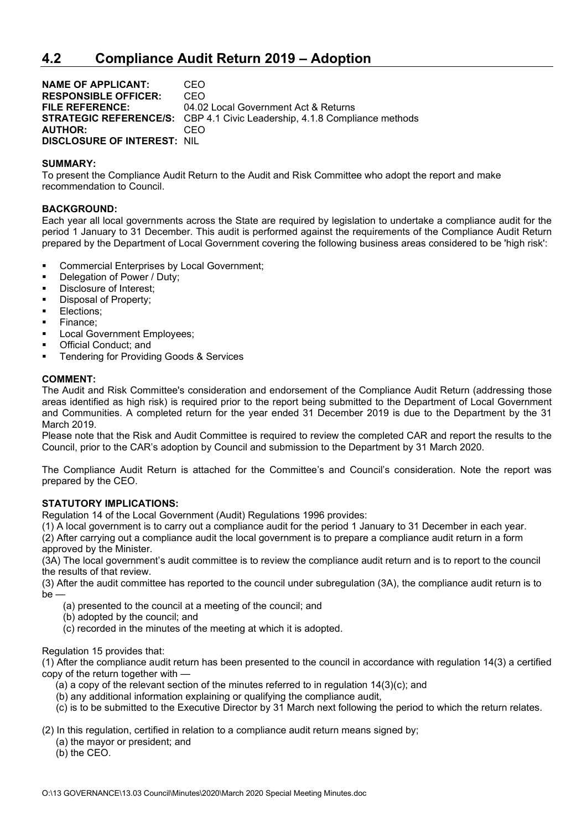### **4.2 Compliance Audit Return 2019 – Adoption**

**NAME OF APPLICANT:** CEO **RESPONSIBLE OFFICER:** CEO **FILE REFERENCE:** 04.02 Local Government Act & Returns **STRATEGIC REFERENCE/S:** CBP 4.1 Civic Leadership, 4.1.8 Compliance methods **AUTHOR:** CEO **DISCLOSURE OF INTEREST:** NIL

#### **SUMMARY:**

To present the Compliance Audit Return to the Audit and Risk Committee who adopt the report and make recommendation to Council.

#### **BACKGROUND:**

Each year all local governments across the State are required by legislation to undertake a compliance audit for the period 1 January to 31 December. This audit is performed against the requirements of the Compliance Audit Return prepared by the Department of Local Government covering the following business areas considered to be 'high risk':

- **Commercial Enterprises by Local Government;**<br> **Delegation of Power / Duty:**
- Delegation of Power / Duty;
- **Disclosure of Interest;**
- **Disposal of Property;**
- **Elections;**
- Finance;
- **Local Government Employees;**
- **•** Official Conduct: and
- Tendering for Providing Goods & Services

#### **COMMENT:**

The Audit and Risk Committee's consideration and endorsement of the Compliance Audit Return (addressing those areas identified as high risk) is required prior to the report being submitted to the Department of Local Government and Communities. A completed return for the year ended 31 December 2019 is due to the Department by the 31 March 2019.

Please note that the Risk and Audit Committee is required to review the completed CAR and report the results to the Council, prior to the CAR's adoption by Council and submission to the Department by 31 March 2020.

The Compliance Audit Return is attached for the Committee's and Council's consideration. Note the report was prepared by the CEO.

#### **STATUTORY IMPLICATIONS:**

Regulation 14 of the Local Government (Audit) Regulations 1996 provides:

(1) A local government is to carry out a compliance audit for the period 1 January to 31 December in each year.

(2) After carrying out a compliance audit the local government is to prepare a compliance audit return in a form approved by the Minister.

(3A) The local government's audit committee is to review the compliance audit return and is to report to the council the results of that review.

(3) After the audit committee has reported to the council under subregulation (3A), the compliance audit return is to be

- (a) presented to the council at a meeting of the council; and
- (b) adopted by the council; and
- (c) recorded in the minutes of the meeting at which it is adopted.

#### Regulation 15 provides that:

(1) After the compliance audit return has been presented to the council in accordance with regulation 14(3) a certified copy of the return together with —

- (a) a copy of the relevant section of the minutes referred to in regulation 14(3)(c); and
- (b) any additional information explaining or qualifying the compliance audit,
- (c) is to be submitted to the Executive Director by 31 March next following the period to which the return relates.

(2) In this regulation, certified in relation to a compliance audit return means signed by;

- (a) the mayor or president; and
- (b) the CEO.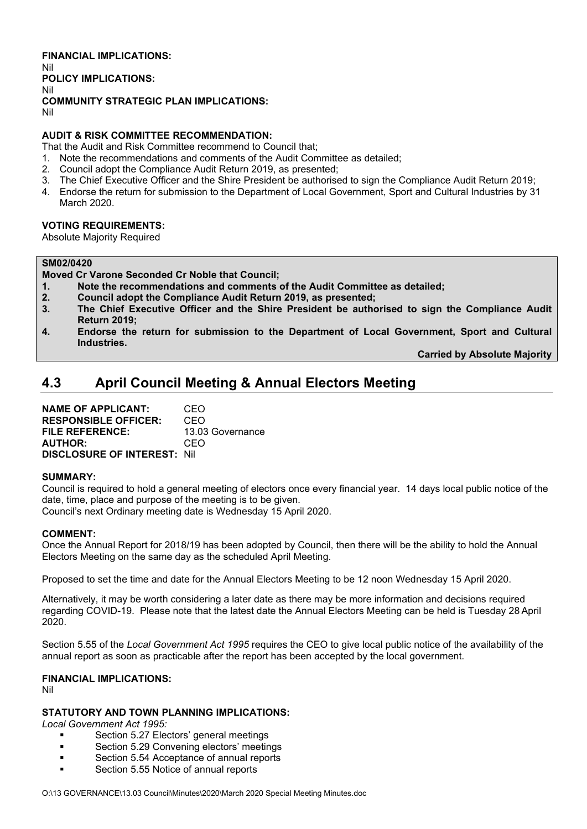**FINANCIAL IMPLICATIONS:** Nil **POLICY IMPLICATIONS:** Nil **COMMUNITY STRATEGIC PLAN IMPLICATIONS:** Nil

#### **AUDIT & RISK COMMITTEE RECOMMENDATION:**

That the Audit and Risk Committee recommend to Council that;

- 1. Note the recommendations and comments of the Audit Committee as detailed;
- 2. Council adopt the Compliance Audit Return 2019, as presented;
- 3. The Chief Executive Officer and the Shire President be authorised to sign the Compliance Audit Return 2019;
- 4. Endorse the return for submission to the Department of Local Government, Sport and Cultural Industries by 31 March 2020.

#### **VOTING REQUIREMENTS:**

Absolute Majority Required

#### **SM02/0420**

**Moved Cr Varone Seconded Cr Noble that Council;** 

**1. Note the recommendations and comments of the Audit Committee as detailed;**

- **2. Council adopt the Compliance Audit Return 2019, as presented;**
- **3. The Chief Executive Officer and the Shire President be authorised to sign the Compliance Audit Return 2019;**
- **4. Endorse the return for submission to the Department of Local Government, Sport and Cultural Industries.**

**Carried by Absolute Majority**

### **4.3 April Council Meeting & Annual Electors Meeting**

**NAME OF APPLICANT:** CEO **RESPONSIBLE OFFICER:** CEO **FILE REFERENCE:** 13.03 Governance **AUTHOR:** CEO **DISCLOSURE OF INTEREST:** Nil

#### **SUMMARY:**

Council is required to hold a general meeting of electors once every financial year. 14 days local public notice of the date, time, place and purpose of the meeting is to be given.

Council's next Ordinary meeting date is Wednesday 15 April 2020.

#### **COMMENT:**

Once the Annual Report for 2018/19 has been adopted by Council, then there will be the ability to hold the Annual Electors Meeting on the same day as the scheduled April Meeting.

Proposed to set the time and date for the Annual Electors Meeting to be 12 noon Wednesday 15 April 2020.

Alternatively, it may be worth considering a later date as there may be more information and decisions required regarding COVID-19. Please note that the latest date the Annual Electors Meeting can be held is Tuesday 28 April 2020.

Section 5.55 of the *Local Government Act 1995* requires the CEO to give local public notice of the availability of the annual report as soon as practicable after the report has been accepted by the local government.

### **FINANCIAL IMPLICATIONS:**

Nil

#### **STATUTORY AND TOWN PLANNING IMPLICATIONS:**

*Local Government Act 1995:*

- Section 5.27 Electors' general meetings
- Section 5.29 Convening electors' meetings
- Section 5.54 Acceptance of annual reports
- **Section 5.55 Notice of annual reports**